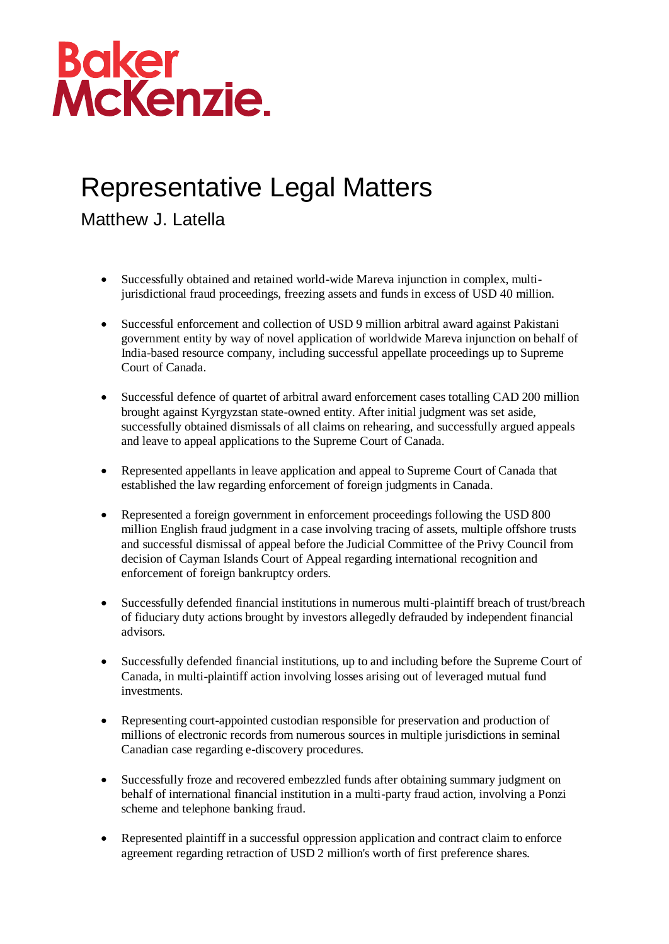## Baker<br>McKenzie.

## Representative Legal Matters

Matthew J. Latella

- Successfully obtained and retained world-wide Mareva injunction in complex, multijurisdictional fraud proceedings, freezing assets and funds in excess of USD 40 million.
- Successful enforcement and collection of USD 9 million arbitral award against Pakistani government entity by way of novel application of worldwide Mareva injunction on behalf of India-based resource company, including successful appellate proceedings up to Supreme Court of Canada.
- Successful defence of quartet of arbitral award enforcement cases totalling CAD 200 million brought against Kyrgyzstan state-owned entity. After initial judgment was set aside, successfully obtained dismissals of all claims on rehearing, and successfully argued appeals and leave to appeal applications to the Supreme Court of Canada.
- Represented appellants in leave application and appeal to Supreme Court of Canada that established the law regarding enforcement of foreign judgments in Canada.
- Represented a foreign government in enforcement proceedings following the USD 800 million English fraud judgment in a case involving tracing of assets, multiple offshore trusts and successful dismissal of appeal before the Judicial Committee of the Privy Council from decision of Cayman Islands Court of Appeal regarding international recognition and enforcement of foreign bankruptcy orders.
- Successfully defended financial institutions in numerous multi-plaintiff breach of trust/breach of fiduciary duty actions brought by investors allegedly defrauded by independent financial advisors.
- Successfully defended financial institutions, up to and including before the Supreme Court of Canada, in multi-plaintiff action involving losses arising out of leveraged mutual fund investments.
- Representing court-appointed custodian responsible for preservation and production of millions of electronic records from numerous sources in multiple jurisdictions in seminal Canadian case regarding e-discovery procedures.
- Successfully froze and recovered embezzled funds after obtaining summary judgment on behalf of international financial institution in a multi-party fraud action, involving a Ponzi scheme and telephone banking fraud.
- Represented plaintiff in a successful oppression application and contract claim to enforce agreement regarding retraction of USD 2 million's worth of first preference shares.